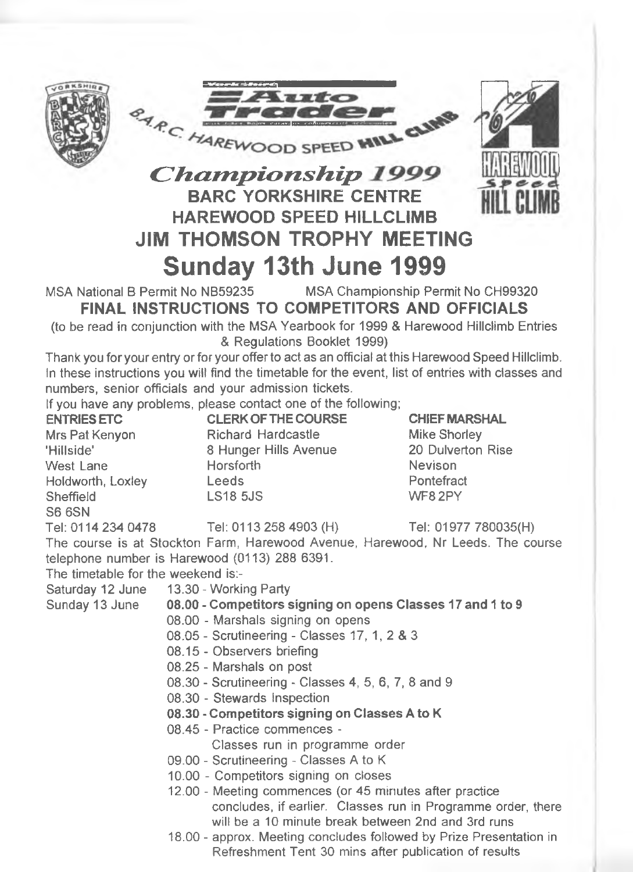





# *Championship* 1999 **BARC YORKSHIRE CENTRE HAREWOOD SPEED HILLCLIMB JIM THOMSON TROPHY MEETING Sunday 13th June 1999**

MSA National B Permit No NB59235 MSA Championship Permit No CH99320 **FINAL INSTRUCTIONS TO COMPETITORS AND OFFICIALS**

(to be read in conjunction with the MSA Yearbook for 1999 & Harewood Hillclimb Entries & Regulations Booklet 1999)

Thank you for your entry or for your offer to act as an official at this Harewood Speed Hillclimb. In these instructions you will find the timetable for the event, list of entries with classes and numbers, senior officials and your admission tickets,

if you have any problems, please contact one of the following;

**CLERK OF THE COURSE** Richard Hardcastle 8 Hunger Hills Avenue Horsforth Leeds LS18 5JS **ENTRIES ETC** Mrs Pat Kenyon 'Hillside' West Lane Holdworth, Loxley Sheffield S6 6SN Tel: 0114 234 0478 Tel: 0113 258 4903 (H) The course is at Stockton Farm, Harewood Avenue, Harewood, Nr Leeds. The course telephone number is Harewood (0113) 288 6391. The timetable for the weekend is:- **CHIEF MARSHAL** Mike Shorley 20 Dulverton Rise Nevison **Pontefract** WF82PY Tel: 01977 780035(H)

Saturday 12 June 13.30-Working Party

Sunday 13 June

- 
- **08.00 Competitors signing on opens Classes 17 and 1 to 9**
- 08.00 Marshals signing on opens
- 08.05 Scrutineering Classes 17, 1, 2 & 3
- 08.15 Observers briefing
- 08.25 Marshals on post
- 08.30 Scrutineering Classes 4, 5, 6, 7, 8 and 9
- 08.30 Stewards Inspection
- **08.30 Competitors signing on Classes A to K**
- 08.45 Practice commences
	- Classes run in programme order
- 09.00 Scrutineering Classes A to K
- 10.00 Competitors signing on closes
- 12.00 Meeting commences (or 45 minutes after practice concludes, if earlier. Classes run in Programme order, there will be a 10 minute break between 2nd and 3rd runs
- 18.00 approx. Meeting concludes followed by Prize Presentation in Refreshment Tent 30 mins after publication of results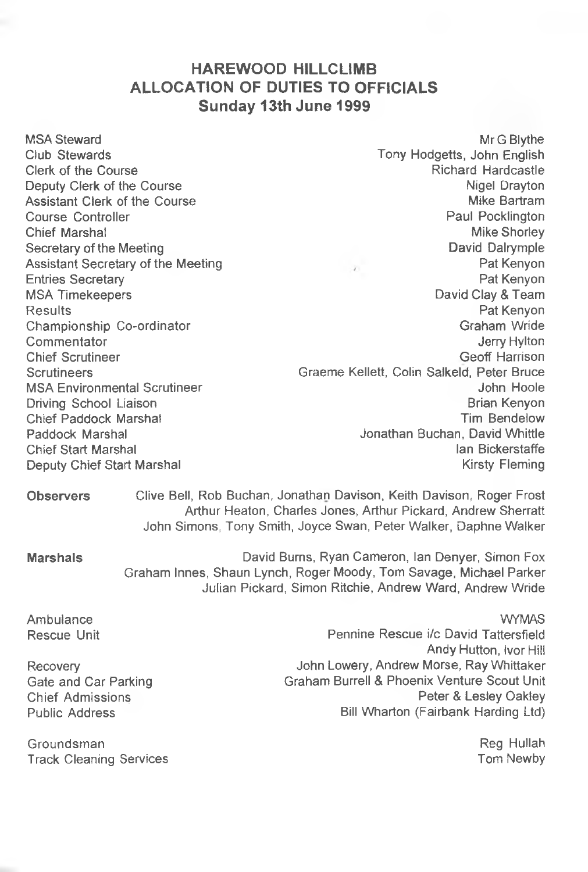#### **HAREWOOD HILLCLIMB ALLOCATION OF DUTIES TO OFFICIALS Sunday 13th June 1999**

MSA Steward Club Stewards Clerk of the Course Deputy Clerk of the Course Assistant Clerk of the Course Course Controller Chief Marshal Secretary of the Meeting Assistant Secretary of the Meeting Entries Secretary MSA Timekeepers Results Championship Co-ordinator Commentator Chief Scrutineer **Scrutineers** MSA Environmental Scrutineer Driving School Liaison Chief Paddock Marshal Paddock Marshal Chief Start Marshal Deputy Chief Start Marshal

Mr G Blythe Tony Hodgetts, John English Richard Hardcastle Nigel Drayton Mike Bartram Paul Pocklington Mike Shorley David Dalrymple Pat Kenyon Pat Kenyon David Clay & Team Pat Kenyon Graham Wride **Jerry Hylton** Geoff Harrison Graeme Kellett, Colin Salkeld, Peter Bruce John Hoole Brian Kenyon Tim Bendelow Jonathan Buchan, David Whittle Ian Bickerstaffe Kirsty Fleming

**Observers** Clive Bell, Rob Buchan, Jonathan Davison, Keith Davison, Roger Frost Arthur Heaton, Charles Jones, Arthur Pickard, Andrew Sherratt John Simons, Tony Smith, Joyce Swan, Peter Walker, Daphne Walker

**Marshals** David Burns, Ryan Cameron, Ian Denyer, Simon Fox Graham Innes, Shaun Lynch, Roger Moody, Tom Savage, Michael Parker Julian Pickard, Simon Ritchie, Andrew Ward, Andrew Wride

Ambulance Rescue Unit

Recovery Gate and Car Parking Chief Admissions Public Address

Groundsman **Track Cleaning Services** 

WYMAS Pennine Rescue i/c David Tattersfield Andy Hutton, Ivor Hill John Lowery, Andrew Morse, Ray Whittaker Graham Burrell & Phoenix Venture Scout Unit Peter & Lesley Oakley Bill Wharton (Fairbank Harding Ltd)

> Reg Hullah Tom Newby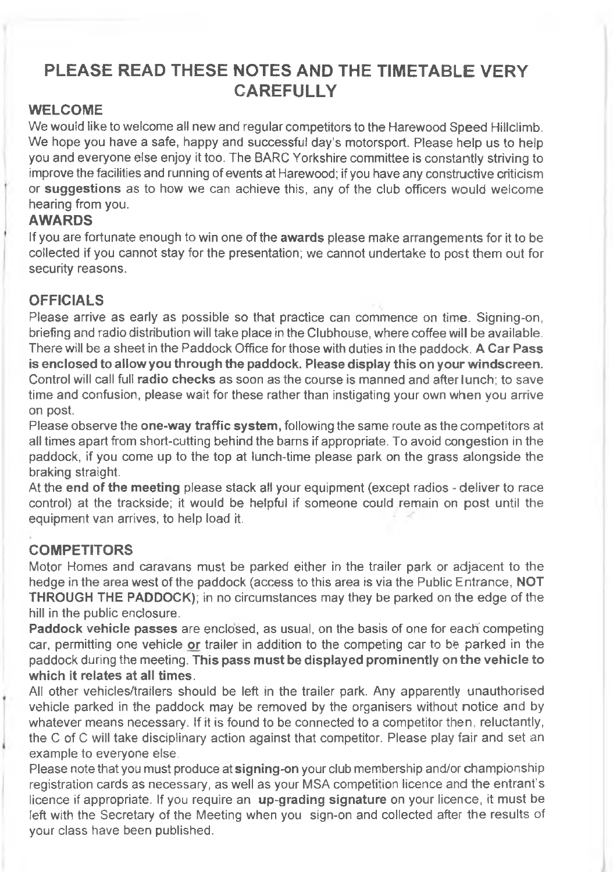## **PLEASE READ THESE NOTES AND THE TIMETABLE VERY CAREFULLY**

#### **WELCOME**

We would like to welcome all new and regular competitors to the Harewood Speed Hillclimb. We hope you have a safe, happy and successful day's motorsport. Please help us to help you and everyone else enjoy it too. The BARC Yorkshire committee is constantly striving to improve the facilities and running of events at Harewood; if you have any constructive criticism or **suggestions** as to how we can achieve this, any of the club officers would welcome hearing from you.

#### **AWARDS**

If you are fortunate enough to win one of the **awards** please make arrangements for it to be collected if you cannot stay for the presentation; we cannot undertake to post them out for security reasons.

#### **OFFICIALS**

Please arrive as early as possible so that practice can commence on time. Signing-on, briefing and radio distribution will take place in the Clubhouse, where coffee will be available. There will be a sheet in the Paddock Office for those with duties in the paddock. **A Car Pass is enclosed to allow you through the paddock. Please display this on your windscreen.** Control will call full **radio checks** as soon as the course is manned and after lunch; to save time and confusion, please wait for these rather than instigating your own when you arrive on post.

Please observe the **one-way traffic system,** following the same route as the competitors at all times apart from short-cutting behind the barns if appropriate. To avoid congestion in the paddock, if you come up to the top at lunch-time please park on the grass alongside the braking straight.

At the **end of the meeting** please stack all your equipment (except radios - deliver to race control) at the trackside; it would be helpful if someone could remain on post until the equipment van arrives, to help load it.

#### **COMPETITORS**

Motor Homes and caravans must be parked either in the trailer park or adjacent to the hedge in the area west of the paddock (access to this area is via the Public Entrance, **NOT THROUGH THE PADDOCK);** in no circumstances may they be parked on the edge of the hill in the public enclosure.

**Paddock vehicle passes** are enclosed, as usual, on the basis of one for each competing car, permitting one vehicle **or** trailer in addition to the competing car to be parked in the paddock during the meeting. **This pass must be displayed prominently on the vehicle to which it relates at all times.**

All other vehicles/trailers should be left in the trailer park. Any apparently unauthorised vehicle parked in the paddock may be removed by the organisers without notice and by whatever means necessary. If it is found to be connected to a competitor then, reluctantly, the C of C will take disciplinary action against that competitor. Please play fair and set an example to everyone else.

Please note that you must produce at **signing-on** your club membership and/or championship registration cards as necessary, as well as your MSA competition licence and the entrant's licence if appropriate. If you require an up-grading signature on your licence, it must be left with the Secretary of the Meeting when you sign-on and collected after the results of your class have been published.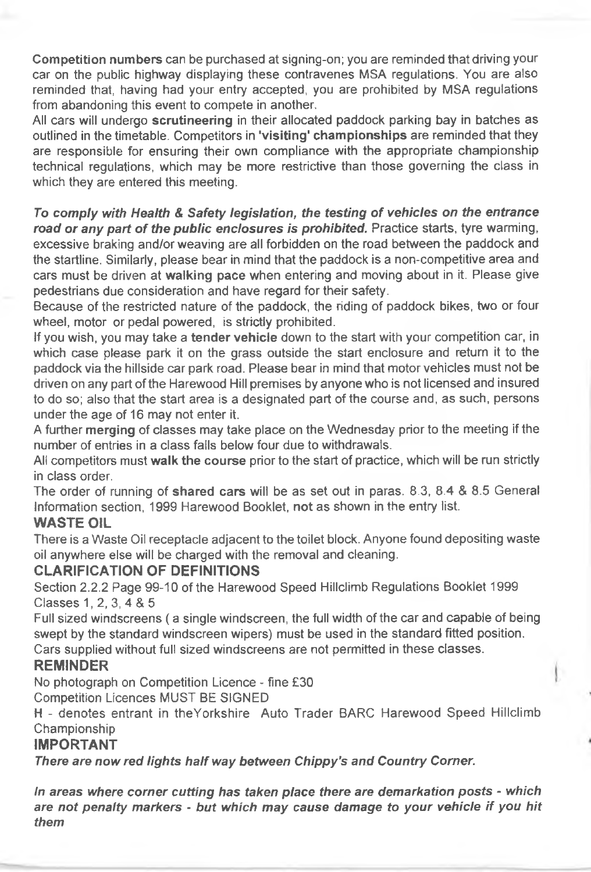Competition numbers can be purchased at signing-on; you are reminded that driving your car on the public highway displaying these contravenes MSA regulations. You are also reminded that, having had your entry accepted, you are prohibited by MSA regulations from abandoning this event to compete in another.

All cars will undergo scrutineering in their allocated paddock parking bay in batches as outlined in the timetable. Competitors in 'visiting' championships are reminded that they are responsible for ensuring their own compliance with the appropriate championship technical regulations, which may be more restrictive than those governing the class in which they are entered this meeting.

*To comply with Health* & *Safety legislation, the testing of vehicles on the entrance* road or any part of the public enclosures is prohibited. Practice starts, tyre warming, excessive braking and/or weaving are all forbidden on the road between the paddock and the startline. Similarly, please bear in mind that the paddock is a non-competitive area and cars must be driven at walking pace when entering and moving about in it. Please give pedestrians due consideration and have regard for their safety.

Because of the restricted nature of the paddock, the riding of paddock bikes, two or four wheel, motor or pedal powered, is strictly prohibited.

If you wish, you may take a tender vehicle down to the start with your competition car, in which case please park it on the grass outside the start enclosure and retum it to the paddock via the hillside car park road. Please bear in mind that motor vehicles must not be driven on any part of the Harewood Hill premises by anyone who is not licensed and insured to do so; also that the start area is a designated part of the course and, as such, persons under the age of 16 may not enter it.

A further merging of classes may take place on the Wednesday prior to the meeting if the number of entries in a class falls below four due to withdrawals.

All competitors must walk the course prior to the start of practice, which will be run strictly in class order.

The order of running of shared cars will be as set out in paras. 8.3, 8.4 & 8.5 General Information section, 1999 Harewood Booklet, not as shown in the entry list.

#### **WASTE OIL**

There is a Waste Oil receptacle adjacent to the toilet block. Anyone found depositing waste oil anywhere else will be charged with the removal and cleaning.

#### **CLARIFICATION OF DEFINITIONS**

Section 2.2.2 Page 99-10 of the Harewood Speed Hillclimb Regulations Booklet 1999 Classes 1, 2, 3, 4 & 5

Full sized windscreens ( a single windscreen, the full width of the car and capable of being swept by the standard windscreen wipers) must be used in the standard fitted position. Cars supplied without full sized windscreens are not penmitted in these classes.

#### **REMINDER**

No photograph on Competition Licence - fine £30

Competition Licences MUST BE SIGNED

H - denotes entrant in theYorkshire Auto Trader BARC Harewood Speed Hillclimb Championship

#### **IMPORTANT**

*There are now red lights half way between Chippy's and Country Corner.*

*In areas where corner cutting has taken place there are demarkation posts - which are not penalty markers - but which may cause damage to your vehicle if you hit them*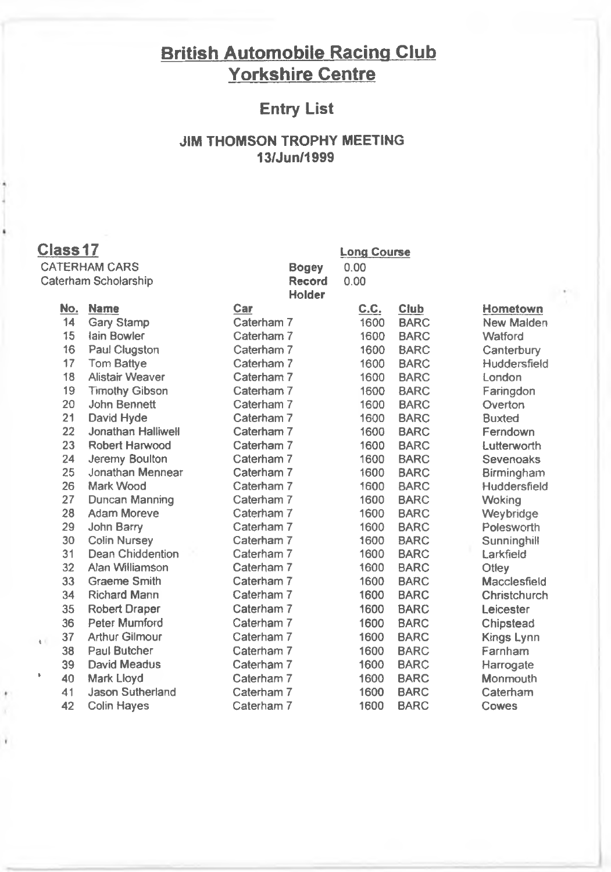# **British Automobile Racing Club Yorkshire Centre**

### **Entry List**

#### **JIM THOMSON TROPHY MEETING 13/Jun/1999**

### **Class 17**

٠

ï

**CATERHAM CARS Caterham Scholarship** **Bogey 0,00 Record 0.00 Holder**

**Long Course**

|    | No. | <b>Name</b>               | Car        | <b>C.C.</b> | Club        | Hometown      |
|----|-----|---------------------------|------------|-------------|-------------|---------------|
|    | 14  | <b>Gary Stamp</b>         | Caterham 7 | 1600        | <b>BARC</b> | New Malden    |
|    | 15  | lain Bowler               | Caterham 7 | 1600        | <b>BARC</b> | Watford       |
|    | 16  | Paul Clugston             | Caterham 7 | 1600        | <b>BARC</b> | Canterbury    |
|    | 17  | Tom Battye                | Caterham 7 | 1600        | <b>BARC</b> | Huddersfield  |
|    | 18  | Alistair Weaver           | Caterham 7 | 1600        | <b>BARC</b> | London        |
|    | 19  | <b>Timothy Gibson</b>     | Caterham 7 | 1600        | <b>BARC</b> | Faringdon     |
|    | 20  | John Bennett              | Caterham 7 | 1600        | <b>BARC</b> | Overton       |
|    | 21  | David Hyde                | Caterham 7 | 1600        | <b>BARC</b> | <b>Buxted</b> |
|    | 22  | <b>Jonathan Halliwell</b> | Caterham 7 | 1600        | <b>BARC</b> | Ferndown      |
|    | 23  | Robert Harwood            | Caterham 7 | 1600        | <b>BARC</b> | Lutterworth   |
|    | 24  | Jeremy Boulton            | Caterham 7 | 1600        | <b>BARC</b> | Sevenoaks     |
|    | 25  | Jonathan Mennear          | Caterham 7 | 1600        | <b>BARC</b> | Birmingham    |
|    | 26  | Mark Wood                 | Caterham 7 | 1600        | <b>BARC</b> | Huddersfield  |
|    | 27  | Duncan Manning            | Caterham 7 | 1600        | <b>BARC</b> | Woking        |
|    | 28  | <b>Adam Moreve</b>        | Caterham 7 | 1600        | <b>BARC</b> | Weybridge     |
|    | 29  | John Barry                | Caterham 7 | 1600        | <b>BARC</b> | Polesworth    |
|    | 30  | <b>Colin Nursey</b>       | Caterham 7 | 1600        | <b>BARC</b> | Sunninghill   |
|    | 31  | <b>Dean Chiddention</b>   | Caterham 7 | 1600        | <b>BARC</b> | Larkfield     |
|    | 32  | Alan Williamson           | Caterham 7 | 1600        | <b>BARC</b> | Otley         |
|    | 33  | <b>Graeme Smith</b>       | Caterham 7 | 1600        | <b>BARC</b> | Macclesfield  |
|    | 34  | <b>Richard Mann</b>       | Caterham 7 | 1600        | <b>BARC</b> | Christchurch  |
|    | 35  | <b>Robert Draper</b>      | Caterham 7 | 1600        | <b>BARC</b> | Leicester     |
|    | 36  | Peter Mumford             | Caterham 7 | 1600        | <b>BARC</b> | Chipstead     |
| t. | 37  | <b>Arthur Gilmour</b>     | Caterham 7 | 1600        | <b>BARC</b> | Kings Lynn    |
|    | 38  | Paul Butcher              | Caterham 7 | 1600        | <b>BARC</b> | Farnham       |
|    | 39  | David Meadus              | Caterham 7 | 1600        | <b>BARC</b> | Harrogate     |
|    | 40  | Mark Lloyd                | Caterham 7 | 1600        | <b>BARC</b> | Monmouth      |
|    | 41  | <b>Jason Sutherland</b>   | Caterham 7 | 1600        | <b>BARC</b> | Caterham      |
|    | 42  | <b>Colin Hayes</b>        | Caterham 7 | 1600        | <b>BARC</b> | Cowes         |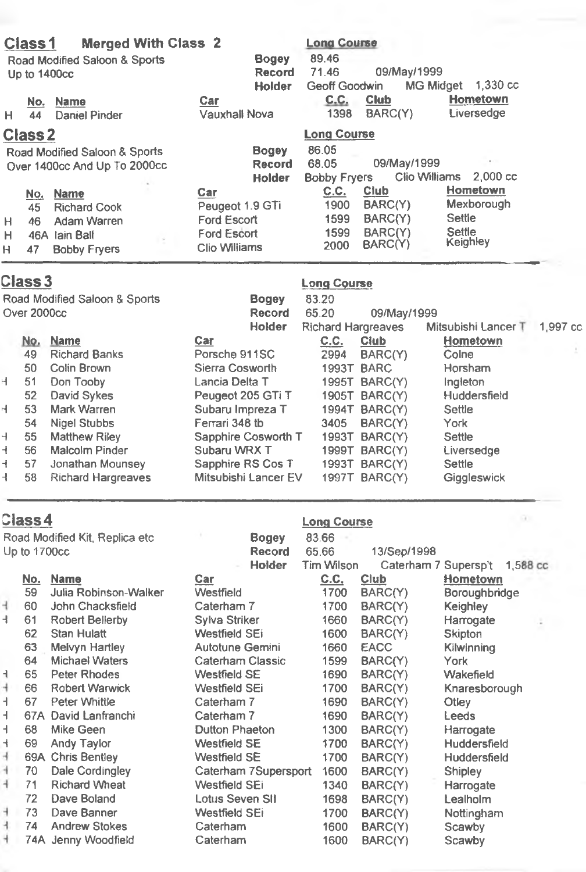|             | <b>Class1</b>                |                                                                                              | <b>Merged With Class 2</b> |                                                                              |               | <b>Long Course</b>                   |                                                  |                                                        |  |
|-------------|------------------------------|----------------------------------------------------------------------------------------------|----------------------------|------------------------------------------------------------------------------|---------------|--------------------------------------|--------------------------------------------------|--------------------------------------------------------|--|
|             |                              | Road Modified Saloon & Sports                                                                |                            |                                                                              | <b>Bogey</b>  | 89.46                                |                                                  |                                                        |  |
|             | Up to 1400cc                 |                                                                                              |                            |                                                                              | <b>Record</b> | 71.46                                | 09/May/1999                                      |                                                        |  |
|             |                              |                                                                                              |                            |                                                                              | <b>Holder</b> | Geoff Goodwin                        |                                                  | <b>MG Midget</b><br>1.330 cc                           |  |
| H.          | No.<br>44                    | <b>Name</b><br>Daniel Pinder                                                                 |                            | Car<br><b>Vauxhall Nova</b>                                                  |               | <u>C.C.</u><br>1398                  | Club<br>BARC(Y)                                  | Hometown<br>Liversedge                                 |  |
|             | <b>Class 2</b>               |                                                                                              |                            |                                                                              |               | <b>Long Course</b>                   |                                                  |                                                        |  |
|             |                              | Road Modified Saloon & Sports                                                                |                            |                                                                              | <b>Bogey</b>  | 86.05                                |                                                  |                                                        |  |
|             |                              | Over 1400cc And Up To 2000cc                                                                 |                            |                                                                              | <b>Record</b> | 68.05                                | 09/May/1999                                      |                                                        |  |
|             |                              |                                                                                              |                            |                                                                              | <b>Holder</b> | <b>Bobby Fryers</b>                  |                                                  | Clio Williams 2,000 cc                                 |  |
| н<br>н<br>н | No.<br>45<br>46<br>46A<br>47 | <b>Name</b><br><b>Richard Cook</b><br>Adam Warren<br><b>lain Ball</b><br><b>Bobby Fryers</b> |                            | Car<br>Peugeot 1.9 GTi<br>Ford Escort<br>Ford Escort<br><b>Clio Williams</b> |               | C.C.<br>1900<br>1599<br>1599<br>2000 | Club<br>BARC(Y)<br>BARC(Y)<br>BARC(Y)<br>BARC(Y) | Hometown<br>Mexborough<br>Settle<br>Settle<br>Keighley |  |
|             |                              |                                                                                              |                            |                                                                              |               |                                      |                                                  |                                                        |  |

|    | Class 3     |                               |                      | <b>Long Course</b>        |                      |                     |          |
|----|-------------|-------------------------------|----------------------|---------------------------|----------------------|---------------------|----------|
|    |             | Road Modified Saloon & Sports | <b>Bogey</b>         | 83.20                     |                      |                     |          |
|    | Over 2000cc |                               | <b>Record</b>        | 65.20                     | 09/May/1999          |                     |          |
|    |             |                               | <b>Holder</b>        | <b>Richard Hargreaves</b> |                      | Mitsubishi Lancer T | 1,997 cc |
|    | <u>No.</u>  | <b>Name</b>                   | Car                  | <u>C.C.</u>               | <b>Club</b>          | Hometown            |          |
|    | 49          | <b>Richard Banks</b>          | Porsche 911SC        | 2994                      | BARC(Y)              | Colne               | $\sim$   |
|    | 50          | Colin Brown                   | Sierra Cosworth      |                           | 1993T BARC           | Horsham             |          |
| н  | 51          | Don Tooby                     | Lancia Delta T       |                           | <b>1995T BARC(Y)</b> | Ingleton            |          |
|    | 52          | David Sykes                   | Peugeot 205 GTi T    |                           | 1905T BARC(Y)        | Huddersfield        |          |
| н  | 53          | Mark Warren                   | Subaru Impreza T     |                           | <b>1994T BARC(Y)</b> | Settle              |          |
|    | 54          | Nigel Stubbs                  | Ferrari 348 tb       | 3405                      | BARC(Y)              | York                |          |
| H. | 55          | <b>Matthew Riley</b>          | Sapphire Cosworth T  | 1993T                     | BARC(Y)              | Settle              |          |
| ₹  | 56          | Malcolm Pinder                | Subaru WRX T         |                           | <b>1999T BARC(Y)</b> | Liversedge          |          |
| ┫  | 57          | Jonathan Mounsey              | Sapphire RS Cos T    |                           | 1993T BARC(Y)        | Settle              |          |
| ┫  | 58          | <b>Richard Hargreaves</b>     | Mitsubishi Lancer EV |                           | 1997T BARC(Y)        | Giggleswick         |          |

|                | <b>Class4</b> |                                 |                      | <b>Long Course</b> | n.          |                                  |
|----------------|---------------|---------------------------------|----------------------|--------------------|-------------|----------------------------------|
|                |               | Road Modified Kit, Replica etc. | <b>Bogey</b>         | 83.66              |             |                                  |
|                | Up to 1700cc  |                                 | <b>Record</b>        | 65.66              | 13/Sep/1998 |                                  |
|                |               |                                 | <b>Holder</b>        | <b>Tim Wilson</b>  |             | Caterham 7 Supersp't<br>1,588 cc |
|                | <u>No.</u>    | <b>Name</b>                     | Car                  | C.C.               | Club        | Hometown                         |
|                | 59            | Julia Robinson-Walker           | Westfield            | 1700               | BARC(Y)     | Boroughbridge                    |
| 4              | 60            | John Chacksfield                | Caterham 7           | 1700               | BARC(Y)     | Keighley                         |
| 4.             | 61            | Robert Bellerby                 | Sylva Striker        | 1660               | BARC(Y)     | Harrogate                        |
|                | 62            | <b>Stan Hulatt</b>              | Westfield SEi        | 1600               | BARC(Y)     | Skipton                          |
|                | 63            | Melvyn Hartley                  | Autotune Gemini      | 1660               | <b>EACC</b> | Kilwinning                       |
|                | 64            | <b>Michael Waters</b>           | Caterham Classic     | 1599               | BARC(Y)     | York                             |
| H.             | 65            | Peter Rhodes                    | Westfield SE         | 1690               | BARC(Y)     | Wakefield                        |
| 4              | 66            | Robert Warwick                  | Westfield SEi        | 1700               | BARC(Y)     | Knaresborough                    |
| H.             | 67            | Peter Whittle                   | Caterham 7           | 1690               | BARC(Y)     | Otley                            |
| H.             |               | 67A David Lanfranchi            | Caterham 7           | 1690               | BARC(Y)     | Leeds                            |
| H.             | 68            | Mike Geen                       | Dutton Phaeton       | 1300               | BARC(Y)     | Harrogate                        |
| 4              | 69            | Andy Taylor                     | <b>Westfield SE</b>  | 1700               | BARC(Y)     | Huddersfield                     |
| $\overline{1}$ |               | 69A Chris Bentley               | Westfield SE         | 1700               | BARC(Y)     | Huddersfield                     |
| 4              | 70            | Dale Cordingley                 | Caterham 7Supersport | 1600               | BARC(Y)     | Shipley                          |
| 4              | 71            | <b>Richard Wheat</b>            | Westfield SEi        | 1340               | BARC(Y)     | Harrogate                        |
|                | 72            | Dave Boland                     | Lotus Seven SII      | 1698               | BARC(Y)     | Lealholm                         |
| H.             | 73            | Dave Banner                     | Westfield SEi        | 1700               | BARC(Y)     | Nottingham                       |
| ł.             | 74            | <b>Andrew Stokes</b>            | Caterham             | 1600               | BARC(Y)     | Scawby                           |
| ÷              |               | 74A Jenny Woodfield             | Caterham             | 1600               | BARC(Y)     | Scawby                           |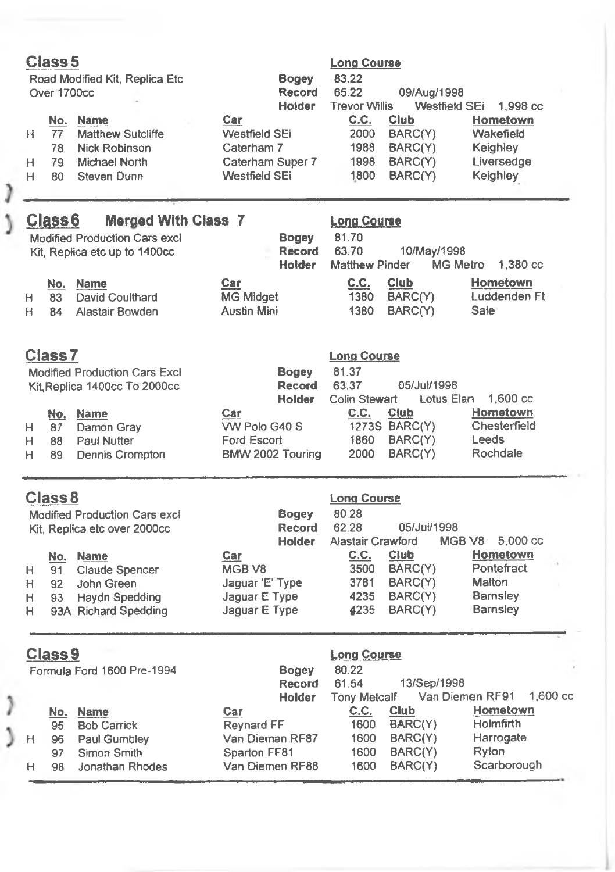| Class 5<br>Road Modified Kit, Replica Etc<br>Over 1700cc                                                                           | <b>Bogey</b><br><b>Record</b><br><b>Holder</b>                                | <b>Long Course</b><br>83.22<br>65.22<br>09/Aug/1998<br><b>Trevor Willis</b><br>Westfield SEi    | 1,998 cc                                                               |
|------------------------------------------------------------------------------------------------------------------------------------|-------------------------------------------------------------------------------|-------------------------------------------------------------------------------------------------|------------------------------------------------------------------------|
| No.<br><b>Name</b><br><b>Matthew Sutcliffe</b><br>77<br>H.<br>Nick Robinson<br>78                                                  | Car<br>Westfield SEi<br>Caterham 7                                            | C.C.<br>Club<br>2000<br>BARC(Y)<br>1988<br>BARC(Y)                                              | Hometown<br>Wakefield<br>Keighley                                      |
| 79<br>Michael North<br>H.<br>Steven Dunn<br>H<br>80                                                                                | Caterham Super 7<br><b>Westfield SEi</b>                                      | 1998<br>BARC(Y)<br>1800<br>BARC(Y)                                                              | Liversedge<br><b>Keighley</b>                                          |
| <b>Merged With Class 7</b><br>Class <sub>6</sub><br><b>Modified Production Cars excl</b><br>Kit. Replica etc up to 1400cc          | <b>Bogey</b><br>Record<br>Holder                                              | <b>Long Course</b><br>81.70<br>63.70<br>10/May/1998<br><b>MG Metro</b><br><b>Matthew Pinder</b> | 1,380 cc                                                               |
| No. Name<br>David Coulthard<br>83<br>H<br>Alastair Bowden<br>H.<br>84                                                              | Car<br><b>MG Midget</b><br><b>Austin Mini</b>                                 | C.C.<br>Club<br>BARC(Y)<br>1380<br>BARC(Y)<br>1380                                              | Hometown<br>Luddenden Ft<br>Sale                                       |
| <b>Class7</b><br><b>Modified Production Cars Excl</b><br>Kit, Replica 1400cc To 2000cc                                             | <b>Bogey</b><br>Record<br><b>Holder</b>                                       | <b>Long Course</b><br>81.37<br>63.37<br>05/Jul/1998<br>Colin Stewart<br>Lotus Elan              | 1,600 cc                                                               |
| No. Name<br>Damon Gray<br>H<br>87<br>Paul Nutter<br>H<br>88<br>Dennis Crompton<br>89<br>H                                          | Car<br>WV Polo G40 S<br>Ford Escort<br>BMW 2002 Touring                       | C.C.<br>Club<br>1273S BARC(Y)<br>BARC(Y)<br>1860<br>BARC(Y)<br>2000                             | Hometown<br>Chesterfield<br>Leeds<br>Rochdale                          |
| Class <sub>8</sub><br><b>Modified Production Cars excl</b><br>Kit, Replica etc over 2000cc                                         | <b>Bogey</b><br><b>Record</b><br><b>Holder</b>                                | <b>Long Course</b><br>80.28<br>62.28<br>05/Jul/1998<br>Alastair Crawford                        | MGB <sub>V8</sub><br>5,000 cc                                          |
| No.<br><b>Name</b><br>Claude Spencer<br>н<br>91<br>H<br>John Green<br>92<br>Haydn Spedding<br>н<br>93<br>93A Richard Spedding<br>н | Car<br>MGB <sub>V8</sub><br>Jaguar 'E' Type<br>Jaquar E Type<br>Jaguar E Type | C.C.<br>Club<br>3500<br>BARC(Y)<br>3781<br>BARC(Y)<br>BARC(Y)<br>4235<br>4235<br>BARC(Y)        | Hometown<br>Pontefract<br>Malton<br><b>Barnsley</b><br><b>Barnsley</b> |
| Class <sub>9</sub><br>Formula Ford 1600 Pre-1994                                                                                   | <b>Bogey</b><br>Record<br><b>Holder</b>                                       | <b>Long Course</b><br>80.22<br>61.54<br>13/Sep/1998<br><b>Tony Metcalf</b>                      | 1.600 cc<br>Van Diemen RF91                                            |
| No. Name<br>95<br><b>Bob Carrick</b><br>Paul Gumbley<br>96<br>н<br>Simon Smith<br>97<br>Jonathan Rhodes<br>H.<br>98                | Car<br>Reynard FF<br>Van Dieman RF87<br>Sparton FF81<br>Van Diemen RF88       | C.C.<br>Club<br>1600<br>BARC(Y)<br>BARC(Y)<br>1600<br>1600<br>BARC(Y)<br>BARC(Y)<br>1600        | Hometown<br><b>Holmfirth</b><br>Harrogate<br>Ryton<br>Scarborough      |

J  $\overline{ }$ 

J

 $\overline{\phantom{a}}$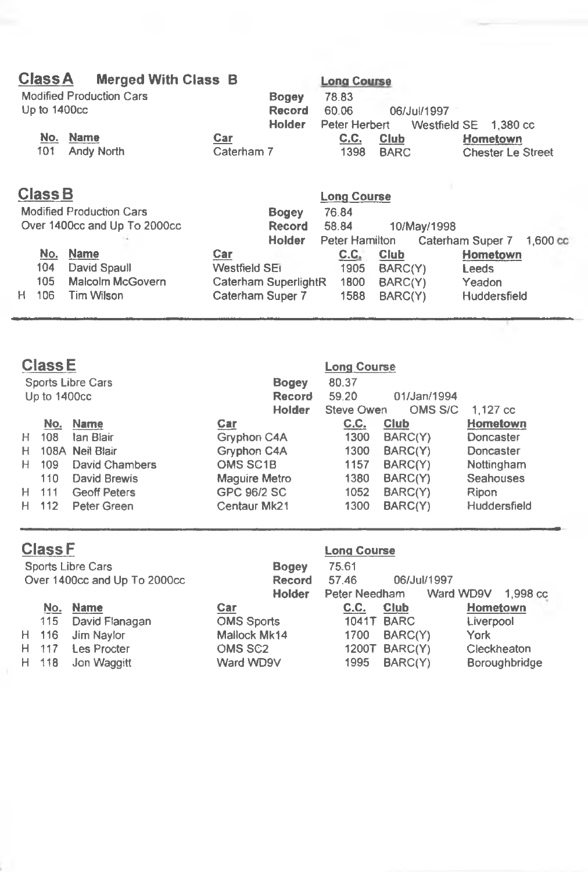| <b>Class A</b> | <b>Merged With Class B</b>      |               |                      | <b>Long Course</b> |             |                           |
|----------------|---------------------------------|---------------|----------------------|--------------------|-------------|---------------------------|
|                | <b>Modified Production Cars</b> |               | <b>Bogey</b>         | 78.83              |             |                           |
| Up to 1400cc   |                                 |               | <b>Record</b>        | 60.06              | 06/Jul/1997 |                           |
|                |                                 |               | <b>Holder</b>        | Peter Herbert      |             | Westfield SE 1.380 cc     |
| No.            | Name                            | <b>Car</b>    |                      | C.C.               | Club        | Hometown                  |
| 101            | Andy North                      | Caterham 7    |                      | 1398               | <b>BARC</b> | <b>Chester Le Street</b>  |
| <b>Class B</b> |                                 |               |                      | <b>Long Course</b> |             |                           |
|                | <b>Modified Production Cars</b> |               | <b>Bogey</b>         | 76.84              |             |                           |
|                | Over 1400cc and Up To 2000cc    |               | <b>Record</b>        | 58.84              | 10/May/1998 |                           |
|                |                                 |               | <b>Holder</b>        | Peter Hamilton     |             | Caterham Super 7 1,600 co |
| No.            | <b>Name</b>                     | Car           |                      | C.C.               | Club        | Hometown                  |
| 104            | David Spaull                    | Westfield SEI |                      | 1905               | BARC(Y)     | Leeds                     |
| 105            | Malcolm McGovern                |               | Caterham SuperlightR | 1800               | BARC(Y)     | Yeadon                    |

## **Class E Lona Course**

| Sports Libre Cars<br>Up to 1400cc |       |                     |                      | <b>Bogey</b><br><b>Record</b><br><b>Holder</b> | 80.37<br>59.20<br>Steve Owen | 01/Jan/1994<br>OMS S/C | 1.127 cc         |
|-----------------------------------|-------|---------------------|----------------------|------------------------------------------------|------------------------------|------------------------|------------------|
|                                   | No.   | Name                | Car                  |                                                | <u>C.C.</u>                  | <b>Club</b>            | Hometown         |
| H.                                | 108   | lan Blair           | Gryphon C4A          |                                                | 1300                         | BARC(Y)                | Doncaster        |
|                                   |       | H 108A Neil Blair   | Gryphon C4A          |                                                | 1300                         | BARC(Y)                | Doncaster        |
|                                   | H 109 | David Chambers      | <b>OMS SC1B</b>      |                                                | 1157                         | BARC(Y)                | Nottingham       |
|                                   | 110   | David Brewis        | <b>Maguire Metro</b> |                                                | 1380                         | BARC(Y)                | <b>Seahouses</b> |
|                                   | H 111 | <b>Geoff Peters</b> | GPC 96/2 SC          |                                                | 1052                         | BARC(Y)                | Ripon            |
|                                   | H 112 | Peter Green         | Centaur Mk21         |                                                | 1300                         | BARC(Y)                | Huddersfield     |

**H 106 Tim Wilson Caterham Super 7 1588 BARC(Y) Huddersfield**

|                              | <b>Class F</b> |                    |                     | <b>Long Course</b> |             |                       |
|------------------------------|----------------|--------------------|---------------------|--------------------|-------------|-----------------------|
| Sports Libre Cars            |                |                    | <b>Bogey</b>        | 75.61              |             |                       |
| Over 1400cc and Up To 2000cc |                |                    | Record              | 57.46              | 06/Jul/1997 |                       |
|                              |                |                    | <b>Holder</b>       | Peter Needham      |             | Ward WD9V<br>1,998 cc |
|                              | No.            | <b>Name</b>        | Car                 | C.C.               | Club        | Hometown              |
|                              | 115            | David Flanagan     | <b>OMS Sports</b>   | 1041T              | <b>BARC</b> | Liverpool             |
|                              | H 116          | Jim Naylor         | Mallock Mk14        | 1700               | BARC(Y)     | York                  |
|                              | H 117          | <b>Les Procter</b> | OMS SC <sub>2</sub> | 1200T              | BARC(Y)     | Cleckheaton           |
|                              | H 118          | Jon Waggitt        | Ward WD9V           | 1995               | BARC(Y)     | <b>Boroughbridge</b>  |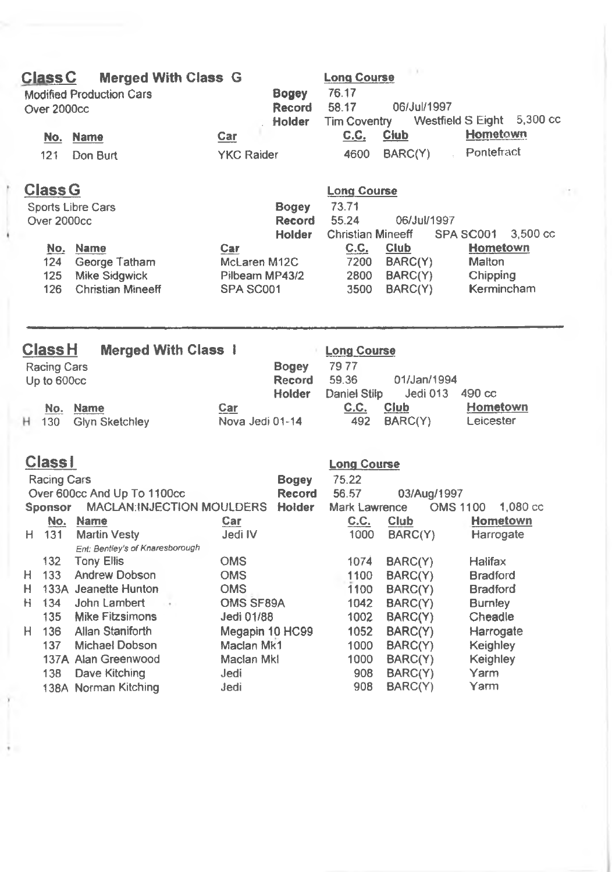| <b>Class C</b><br>Over 2000cc |             | <b>Merged With Class G</b><br><b>Modified Production Cars</b> |                     | <b>Bogey</b><br><b>Record</b><br><b>Holder</b> | <b>Long Course</b><br>76.17<br>58.17<br><b>Tim Coventry</b> | 06/Jul/1997            | Westfield S Eight 5,300 cc   |
|-------------------------------|-------------|---------------------------------------------------------------|---------------------|------------------------------------------------|-------------------------------------------------------------|------------------------|------------------------------|
|                               | No.         | <b>Name</b>                                                   | Car                 |                                                | <u>C.C.</u>                                                 | <b>Club</b>            | Hometown                     |
|                               | 121         | Don Burt                                                      | <b>YKC Raider</b>   |                                                | 4600                                                        | BARC(Y)                | Pontefract                   |
| <b>Class G</b>                |             |                                                               |                     |                                                | <b>Long Course</b>                                          |                        |                              |
|                               |             | Sports Libre Cars                                             |                     | <b>Bogey</b>                                   | 73.71                                                       |                        |                              |
|                               | Over 2000cc |                                                               |                     | <b>Record</b>                                  | 55.24                                                       | 06/Jul/1997            |                              |
|                               |             |                                                               |                     | <b>Holder</b>                                  | <b>Christian Mineeff</b>                                    |                        | SPA SC001<br>3,500 cc        |
|                               | 124         | No. Name<br>George Tatham                                     | Car<br>McLaren M12C |                                                | C.C.<br>7200                                                | <b>Club</b><br>BARC(Y) | Hometown<br>Malton           |
|                               | 125         | <b>Mike Sidgwick</b>                                          | Pilbeam MP43/2      |                                                | 2800                                                        | BARC(Y)                | Chipping                     |
|                               | 126         | <b>Christian Mineeff</b>                                      | SPA SC001           |                                                | 3500                                                        | BARC(Y)                | Kermincham                   |
|                               |             |                                                               |                     |                                                |                                                             |                        |                              |
| <b>Class H</b>                |             | <b>Merged With Class 1</b>                                    |                     |                                                | <b>Long Course</b>                                          |                        |                              |
| Racing Cars                   |             |                                                               |                     | <b>Bogey</b>                                   | 7977                                                        |                        |                              |
| Up to 600cc                   |             |                                                               |                     | <b>Record</b>                                  | 59.36                                                       | 01/Jan/1994            |                              |
|                               |             |                                                               |                     | Holder                                         | Daniel Stilp                                                | Jedi 013               | 490 cc                       |
|                               | No.         | <b>Name</b>                                                   | Car                 |                                                | C.C.                                                        | Club                   | Hometown                     |
| H 130                         |             | Glyn Sketchley                                                | Nova Jedi 01-14     |                                                | 492                                                         | BARC(Y)                | Leicester                    |
| <b>Class1</b>                 |             |                                                               |                     |                                                | <b>Long Course</b>                                          |                        |                              |
|                               | Racing Cars |                                                               |                     | <b>Bogey</b>                                   | 75.22                                                       |                        |                              |
|                               |             | Over 600cc And Up To 1100cc                                   |                     | <b>Record</b>                                  | 56.57                                                       | 03/Aug/1997            |                              |
| <b>Sponsor</b>                |             | MACLAN:INJECTION MOULDERS                                     |                     | Holder                                         | Mark Lawrence                                               |                        | 1,080 cc<br><b>OMS 1100</b>  |
| H 131                         | No.         | <b>Name</b><br><b>Martin Vesty</b>                            | Car<br>Jedi IV      |                                                | C.C.<br>1000                                                | Club<br>BARC(Y)        | <b>Hometown</b><br>Harrogate |
|                               |             | Ent: Bentley's of Knaresborough                               |                     |                                                |                                                             |                        |                              |
|                               | 132         | <b>Tony Ellis</b>                                             | <b>OMS</b>          |                                                | 1074                                                        | BARC(Y)                | Halifax                      |
| Н.                            | 133         | Andrew Dobson                                                 | <b>OMS</b>          |                                                | 1100                                                        | BARC(Y)                | <b>Bradford</b>              |
| H                             |             | 133A Jeanette Hunton                                          | <b>OMS</b>          |                                                | 1100                                                        | BARC(Y)                | <b>Bradford</b>              |
| H 134                         |             | John Lambert<br>. .                                           | OMS SF89A           |                                                | 1042                                                        | BARC(Y)                | <b>Burnley</b>               |
|                               | 135         | Mike Fitzsimons                                               | Jedi 01/88          |                                                | 1002                                                        | BARC(Y)                | Cheadle                      |
| H 136                         |             | Allan Staniforth                                              | Megapin 10 HC99     |                                                | 1052                                                        | BARC(Y)                | Harrogate                    |
|                               | 137         | Michael Dobson                                                | Maclan Mk1          |                                                | 1000                                                        | BARC(Y)                | Keighley                     |
|                               |             | 137A Alan Greenwood                                           | Maclan Mkl          |                                                | 1000                                                        | BARC(Y)                | Keighley                     |
|                               | 138         | Dave Kitching                                                 | Jedi                |                                                | 908                                                         | BARC(Y)                | Yarm<br>Yarm                 |
|                               |             | 138A Norman Kitching                                          | Jedi                |                                                | 908                                                         | BARC(Y)                |                              |
|                               |             |                                                               |                     |                                                |                                                             |                        |                              |
|                               |             |                                                               |                     |                                                |                                                             |                        |                              |
|                               |             |                                                               |                     |                                                |                                                             |                        |                              |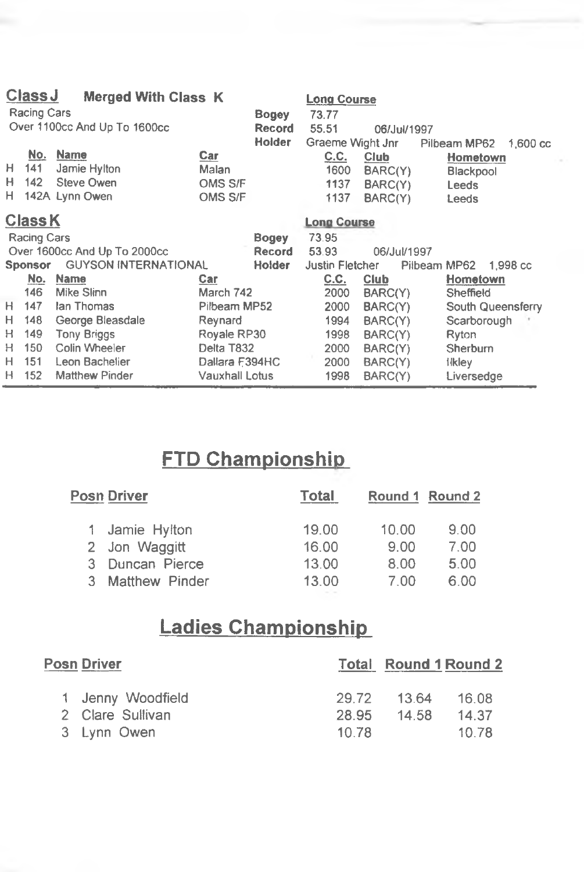|    | <b>Class J</b><br><b>Merged With Class K</b><br><b>Long Course</b><br><b>Racing Cars</b> |                              |                |                               |                        |             |                                    |  |
|----|------------------------------------------------------------------------------------------|------------------------------|----------------|-------------------------------|------------------------|-------------|------------------------------------|--|
|    |                                                                                          | Over 1100cc And Up To 1600cc |                | <b>Bogey</b><br><b>Record</b> | 73.77<br>55.51         | 06/Jul/1997 |                                    |  |
|    |                                                                                          |                              |                | <b>Holder</b>                 | Graeme Wight Jnr       |             | Pilbeam MP62<br>$1.600 \text{ cc}$ |  |
|    | No.                                                                                      | <b>Name</b>                  | Car            |                               | C.C.                   | Club        | Hometown                           |  |
| Н. | 141                                                                                      | Jamie Hylton                 | Malan          |                               | 1600                   | BARC(Y)     |                                    |  |
| н  | 142                                                                                      | Steve Owen                   | OMS S/F        |                               | 1137                   | BARC(Y)     | Blackpool                          |  |
| H. |                                                                                          | 142A Lynn Owen               | OMS S/F        |                               | 1137                   |             | <b>Leeds</b>                       |  |
|    |                                                                                          |                              |                |                               |                        | BARC(Y)     | Leeds                              |  |
|    | <b>Class K</b>                                                                           |                              |                |                               | <b>Long Course</b>     |             |                                    |  |
|    | <b>Racing Cars</b>                                                                       |                              |                | Bogey                         | 73.95                  |             |                                    |  |
|    |                                                                                          | Over 1600cc And Up To 2000cc |                | <b>Record</b>                 | 53.93                  | 06/Jul/1997 |                                    |  |
|    | <b>Sponsor</b>                                                                           | <b>GUYSON INTERNATIONAL</b>  |                | <b>Holder</b>                 | <b>Justin Fletcher</b> |             | Pilbeam MP62<br>1.998 cc           |  |
|    | No.                                                                                      | Name                         | Car            |                               | C.C.                   | Club        | Hometown                           |  |
|    | 146                                                                                      | Mike Slinn                   | March 742      |                               | 2000                   | BARC(Y)     | Sheffield                          |  |
| H. | 147                                                                                      | lan Thomas                   | Pilbeam MP52   |                               | 2000                   | BARC(Y)     | South Queensferry                  |  |
| H  | 148                                                                                      | George Bleasdale             | Reynard        |                               | 1994                   | BARC(Y)     | Scarborough                        |  |
| H  | 149                                                                                      | <b>Tony Briggs</b>           | Royale RP30    |                               | 1998                   | BARC(Y)     | Ryton                              |  |
| н  | 150                                                                                      | Colin Wheeler                | Delta T832     |                               | 2000                   | BARC(Y)     | <b>Sherburn</b>                    |  |
| Н  | 151                                                                                      | Leon Bachelier               | Dallara F394HC |                               | 2000                   | BARC(Y)     | <b>ilkley</b>                      |  |
| H  | 152                                                                                      | <b>Matthew Pinder</b>        | Vauxhall Lotus |                               | 1998                   | BARC(Y)     | Liversedge                         |  |

# **FTD Championship**

| Posn Driver           | Total |       | Round 1 Round 2 |
|-----------------------|-------|-------|-----------------|
| 1 Jamie Hylton        | 19.00 | 10.00 | 9.00            |
| 2 Jon Waggitt         | 16.00 | 9.00  | 7.00            |
| Duncan Pierce         | 13.00 | 8.00  | 5.00            |
| <b>Matthew Pinder</b> | 13.00 | 7.00  | 6.00            |
|                       |       |       |                 |

# **Ladies Championship**

| <b>Posn Driver</b> |                   |          | <b>Total Round 1 Round 2</b> |       |
|--------------------|-------------------|----------|------------------------------|-------|
|                    | 1 Jenny Woodfield | -29.72 - | 13.64                        | 16.08 |
|                    | 2 Clare Sullivan  | 28.95    | 14.58                        | 14.37 |
|                    | 3 Lynn Owen       | 10.78    |                              | 10.78 |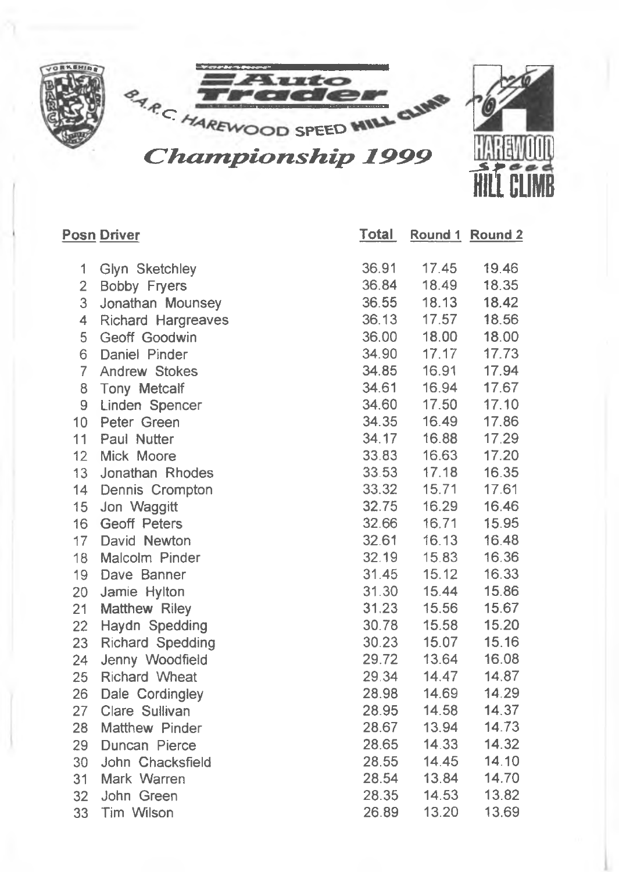

**Total Round 1 Round 2**

#### **Posn Driver**

| 1              | Glyn Sketchley            | 36.91 | 17.45 | 19.46 |
|----------------|---------------------------|-------|-------|-------|
| $\overline{c}$ | <b>Bobby Fryers</b>       | 36.84 | 18.49 | 18.35 |
| 3              | Jonathan Mounsey          | 36.55 | 18.13 | 18.42 |
| 4              | <b>Richard Hargreaves</b> | 36.13 | 17.57 | 18.56 |
| 5              | Geoff Goodwin             | 36.00 | 18.00 | 18.00 |
| 6              | Daniel Pinder             | 34.90 | 17.17 | 17.73 |
| 7              | <b>Andrew Stokes</b>      | 34.85 | 16.91 | 17.94 |
| 8              | Tony Metcalf              | 34.61 | 16.94 | 17.67 |
| 9              | Linden Spencer            | 34.60 | 17.50 | 17.10 |
| 10             | Peter Green               | 34.35 | 16.49 | 17.86 |
| 11             | Paul Nutter               | 34.17 | 16.88 | 17.29 |
| 12             | Mick Moore                | 33.83 | 16.63 | 17.20 |
| 13             | Jonathan Rhodes           | 33.53 | 17.18 | 16.35 |
| 14             | Dennis Crompton           | 33.32 | 15.71 | 17.61 |
| 15             | Jon Waggitt               | 32.75 | 16.29 | 16.46 |
| 16             | <b>Geoff Peters</b>       | 32.66 | 16.71 | 15.95 |
| 17             | David Newton              | 32.61 | 16.13 | 16.48 |
| 18             | Malcolm Pinder            | 32.19 | 15.83 | 16.36 |
| 19             | Dave Banner               | 31.45 | 15.12 | 16.33 |
| 20             | Jamie Hylton              | 31.30 | 15.44 | 15.86 |
| 21             | Matthew Riley             | 31.23 | 15.56 | 15.67 |
| 22             | Haydn Spedding            | 30.78 | 15.58 | 15.20 |
| 23             | <b>Richard Spedding</b>   | 30.23 | 15.07 | 15.16 |
| 24             | Jenny Woodfield           | 29.72 | 13.64 | 16.08 |
| 25             | Richard Wheat             | 29.34 | 14.47 | 14.87 |
| 26             | Dale Cordingley           | 28.98 | 14.69 | 14.29 |
| 27             | Clare Sullivan            | 28.95 | 14.58 | 14.37 |
| 28             | Matthew Pinder            | 28.67 | 13.94 | 14.73 |
| 29             | Duncan Pierce             | 28.65 | 14.33 | 14.32 |
| 30             | John Chacksfield          | 28.55 | 14.45 | 14.10 |
| 31             | Mark Warren               | 28.54 | 13.84 | 14.70 |
| 32             | John Green                | 28.35 | 14.53 | 13.82 |
| 33             | Tim Wilson                | 26.89 | 13.20 | 13.69 |